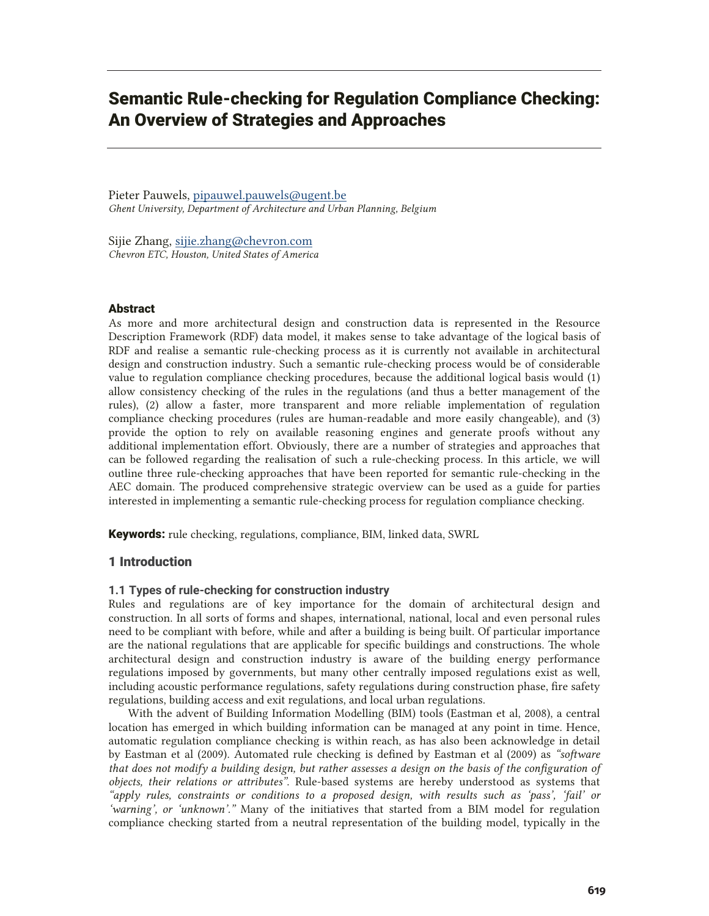# Semantic Rule-checking for Regulation Compliance Checking: An Overview of Strategies and Approaches

Pieter Pauwels, pipauwel.pauwels@ugent.be *Ghent University, Department of Architecture and Urban Planning, Belgium* 

Sijie Zhang, sijie.zhang@chevron.com *Chevron ETC, Houston, United States of America* 

### Abstract

As more and more architectural design and construction data is represented in the Resource Description Framework (RDF) data model, it makes sense to take advantage of the logical basis of RDF and realise a semantic rule-checking process as it is currently not available in architectural design and construction industry. Such a semantic rule-checking process would be of considerable value to regulation compliance checking procedures, because the additional logical basis would (1) allow consistency checking of the rules in the regulations (and thus a better management of the rules), (2) allow a faster, more transparent and more reliable implementation of regulation compliance checking procedures (rules are human-readable and more easily changeable), and (3) provide the option to rely on available reasoning engines and generate proofs without any additional implementation effort. Obviously, there are a number of strategies and approaches that can be followed regarding the realisation of such a rule-checking process. In this article, we will outline three rule-checking approaches that have been reported for semantic rule-checking in the AEC domain. The produced comprehensive strategic overview can be used as a guide for parties interested in implementing a semantic rule-checking process for regulation compliance checking.

Keywords: rule checking, regulations, compliance, BIM, linked data, SWRL

#### 1 Introduction

### **1.1 Types of rule-checking for construction industry**

Rules and regulations are of key importance for the domain of architectural design and construction. In all sorts of forms and shapes, international, national, local and even personal rules need to be compliant with before, while and after a building is being built. Of particular importance are the national regulations that are applicable for specific buildings and constructions. The whole architectural design and construction industry is aware of the building energy performance regulations imposed by governments, but many other centrally imposed regulations exist as well, including acoustic performance regulations, safety regulations during construction phase, fire safety regulations, building access and exit regulations, and local urban regulations.

 With the advent of Building Information Modelling (BIM) tools (Eastman et al, 2008), a central location has emerged in which building information can be managed at any point in time. Hence, automatic regulation compliance checking is within reach, as has also been acknowledge in detail by Eastman et al (2009). Automated rule checking is defined by Eastman et al (2009) as *"software that does not modify a building design, but rather assesses a design on the basis of the configuration of objects, their relations or attributes"*. Rule-based systems are hereby understood as systems that *"apply rules, constraints or conditions to a proposed design, with results such as 'pass', 'fail' or 'warning', or 'unknown'."* Many of the initiatives that started from a BIM model for regulation compliance checking started from a neutral representation of the building model, typically in the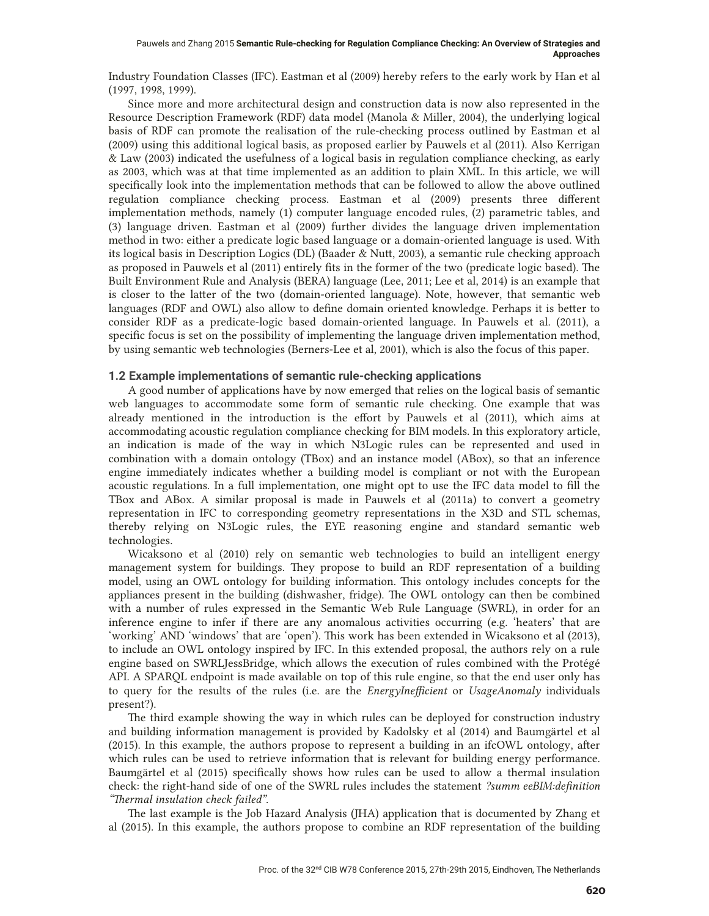Industry Foundation Classes (IFC). Eastman et al (2009) hereby refers to the early work by Han et al (1997, 1998, 1999).

 Since more and more architectural design and construction data is now also represented in the Resource Description Framework (RDF) data model (Manola & Miller, 2004), the underlying logical basis of RDF can promote the realisation of the rule-checking process outlined by Eastman et al (2009) using this additional logical basis, as proposed earlier by Pauwels et al (2011). Also Kerrigan & Law (2003) indicated the usefulness of a logical basis in regulation compliance checking, as early as 2003, which was at that time implemented as an addition to plain XML. In this article, we will specifically look into the implementation methods that can be followed to allow the above outlined regulation compliance checking process. Eastman et al (2009) presents three different implementation methods, namely (1) computer language encoded rules, (2) parametric tables, and (3) language driven. Eastman et al (2009) further divides the language driven implementation method in two: either a predicate logic based language or a domain-oriented language is used. With its logical basis in Description Logics (DL) (Baader & Nutt, 2003), a semantic rule checking approach as proposed in Pauwels et al (2011) entirely fits in the former of the two (predicate logic based). The Built Environment Rule and Analysis (BERA) language (Lee, 2011; Lee et al, 2014) is an example that is closer to the latter of the two (domain-oriented language). Note, however, that semantic web languages (RDF and OWL) also allow to define domain oriented knowledge. Perhaps it is better to consider RDF as a predicate-logic based domain-oriented language. In Pauwels et al. (2011), a specific focus is set on the possibility of implementing the language driven implementation method, by using semantic web technologies (Berners-Lee et al, 2001), which is also the focus of this paper.

### **1.2 Example implementations of semantic rule-checking applications**

 A good number of applications have by now emerged that relies on the logical basis of semantic web languages to accommodate some form of semantic rule checking. One example that was already mentioned in the introduction is the effort by Pauwels et al (2011), which aims at accommodating acoustic regulation compliance checking for BIM models. In this exploratory article, an indication is made of the way in which N3Logic rules can be represented and used in combination with a domain ontology (TBox) and an instance model (ABox), so that an inference engine immediately indicates whether a building model is compliant or not with the European acoustic regulations. In a full implementation, one might opt to use the IFC data model to fill the TBox and ABox. A similar proposal is made in Pauwels et al (2011a) to convert a geometry representation in IFC to corresponding geometry representations in the X3D and STL schemas, thereby relying on N3Logic rules, the EYE reasoning engine and standard semantic web technologies.

Wicaksono et al (2010) rely on semantic web technologies to build an intelligent energy management system for buildings. They propose to build an RDF representation of a building model, using an OWL ontology for building information. This ontology includes concepts for the appliances present in the building (dishwasher, fridge). The OWL ontology can then be combined with a number of rules expressed in the Semantic Web Rule Language (SWRL), in order for an inference engine to infer if there are any anomalous activities occurring (e.g. 'heaters' that are 'working' AND 'windows' that are 'open'). This work has been extended in Wicaksono et al (2013), to include an OWL ontology inspired by IFC. In this extended proposal, the authors rely on a rule engine based on SWRLJessBridge, which allows the execution of rules combined with the Protégé API. A SPARQL endpoint is made available on top of this rule engine, so that the end user only has to query for the results of the rules (i.e. are the *EnergyInefficient* or *UsageAnomaly* individuals present?).

The third example showing the way in which rules can be deployed for construction industry and building information management is provided by Kadolsky et al (2014) and Baumgärtel et al (2015). In this example, the authors propose to represent a building in an ifcOWL ontology, after which rules can be used to retrieve information that is relevant for building energy performance. Baumgärtel et al (2015) specifically shows how rules can be used to allow a thermal insulation check: the right-hand side of one of the SWRL rules includes the statement *?summ eeBIM:definition "Thermal insulation check failed"*.

The last example is the Job Hazard Analysis (JHA) application that is documented by Zhang et al (2015). In this example, the authors propose to combine an RDF representation of the building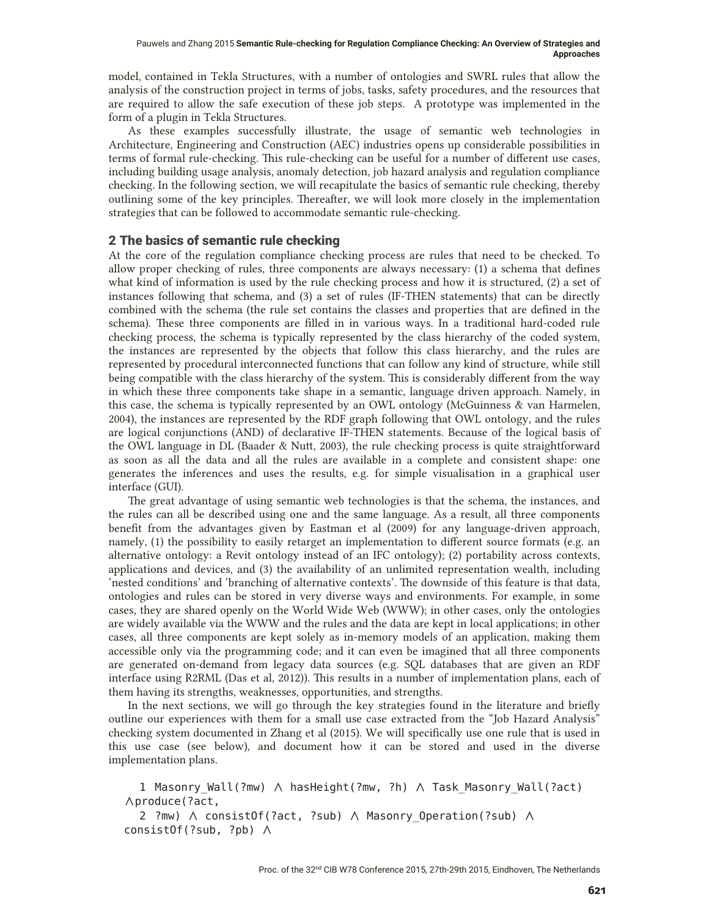model, contained in Tekla Structures, with a number of ontologies and SWRL rules that allow the analysis of the construction project in terms of jobs, tasks, safety procedures, and the resources that are required to allow the safe execution of these job steps. A prototype was implemented in the form of a plugin in Tekla Structures.

As these examples successfully illustrate, the usage of semantic web technologies in Architecture, Engineering and Construction (AEC) industries opens up considerable possibilities in terms of formal rule-checking. This rule-checking can be useful for a number of different use cases, including building usage analysis, anomaly detection, job hazard analysis and regulation compliance checking. In the following section, we will recapitulate the basics of semantic rule checking, thereby outlining some of the key principles. Thereafter, we will look more closely in the implementation strategies that can be followed to accommodate semantic rule-checking.

# 2 The basics of semantic rule checking

At the core of the regulation compliance checking process are rules that need to be checked. To allow proper checking of rules, three components are always necessary: (1) a schema that defines what kind of information is used by the rule checking process and how it is structured, (2) a set of instances following that schema, and (3) a set of rules (IF-THEN statements) that can be directly combined with the schema (the rule set contains the classes and properties that are defined in the schema). These three components are filled in in various ways. In a traditional hard-coded rule checking process, the schema is typically represented by the class hierarchy of the coded system, the instances are represented by the objects that follow this class hierarchy, and the rules are represented by procedural interconnected functions that can follow any kind of structure, while still being compatible with the class hierarchy of the system. This is considerably different from the way in which these three components take shape in a semantic, language driven approach. Namely, in this case, the schema is typically represented by an OWL ontology (McGuinness & van Harmelen, 2004), the instances are represented by the RDF graph following that OWL ontology, and the rules are logical conjunctions (AND) of declarative IF-THEN statements. Because of the logical basis of the OWL language in DL (Baader & Nutt, 2003), the rule checking process is quite straightforward as soon as all the data and all the rules are available in a complete and consistent shape: one generates the inferences and uses the results, e.g. for simple visualisation in a graphical user interface (GUI).

 The great advantage of using semantic web technologies is that the schema, the instances, and the rules can all be described using one and the same language. As a result, all three components benefit from the advantages given by Eastman et al (2009) for any language-driven approach, namely, (1) the possibility to easily retarget an implementation to different source formats (e.g. an alternative ontology: a Revit ontology instead of an IFC ontology); (2) portability across contexts, applications and devices, and (3) the availability of an unlimited representation wealth, including 'nested conditions' and 'branching of alternative contexts'. The downside of this feature is that data, ontologies and rules can be stored in very diverse ways and environments. For example, in some cases, they are shared openly on the World Wide Web (WWW); in other cases, only the ontologies are widely available via the WWW and the rules and the data are kept in local applications; in other cases, all three components are kept solely as in-memory models of an application, making them accessible only via the programming code; and it can even be imagined that all three components are generated on-demand from legacy data sources (e.g. SQL databases that are given an RDF interface using R2RML (Das et al, 2012)). This results in a number of implementation plans, each of them having its strengths, weaknesses, opportunities, and strengths.

In the next sections, we will go through the key strategies found in the literature and briefly outline our experiences with them for a small use case extracted from the "Job Hazard Analysis" checking system documented in Zhang et al (2015). We will specifically use one rule that is used in this use case (see below), and document how it can be stored and used in the diverse implementation plans.

1 Masonry Wall(?mw)  $\land$  hasHeight(?mw, ?h)  $\land$  Task Masonry Wall(?act) Aproduce(?act,

2 ?mw)  $\land$  consistOf(?act, ?sub)  $\land$  Masonry Operation(?sub)  $\land$  $consistOf(?sub, ?pb)$   $\wedge$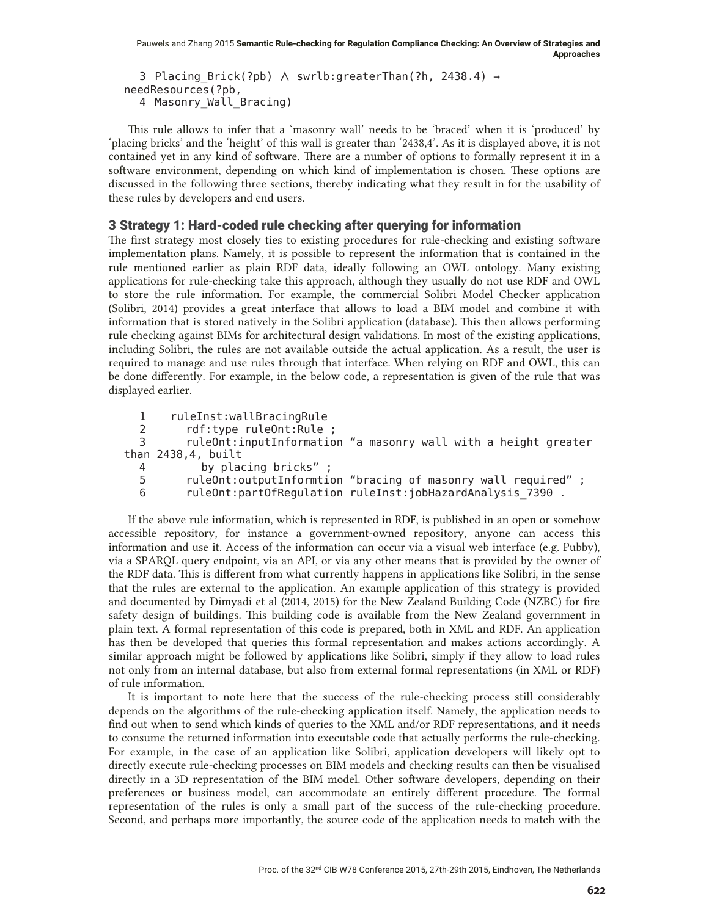```
3 Placing_Brick(?pb) ∧ swrlb:greaterThan(?h, 2438.4) →
needResources(?pb,
  4 Masonry Wall Bracing)
```
This rule allows to infer that a 'masonry wall' needs to be 'braced' when it is 'produced' by 'placing bricks' and the 'height' of this wall is greater than '2438,4'. As it is displayed above, it is not contained yet in any kind of software. There are a number of options to formally represent it in a software environment, depending on which kind of implementation is chosen. These options are discussed in the following three sections, thereby indicating what they result in for the usability of these rules by developers and end users.

### 3 Strategy 1: Hard-coded rule checking after querying for information

The first strategy most closely ties to existing procedures for rule-checking and existing software implementation plans. Namely, it is possible to represent the information that is contained in the rule mentioned earlier as plain RDF data, ideally following an OWL ontology. Many existing applications for rule-checking take this approach, although they usually do not use RDF and OWL to store the rule information. For example, the commercial Solibri Model Checker application (Solibri, 2014) provides a great interface that allows to load a BIM model and combine it with information that is stored natively in the Solibri application (database). This then allows performing rule checking against BIMs for architectural design validations. In most of the existing applications, including Solibri, the rules are not available outside the actual application. As a result, the user is required to manage and use rules through that interface. When relying on RDF and OWL, this can be done differently. For example, in the below code, a representation is given of the rule that was displayed earlier.

```
1 ruleInst:wallBracingRule<br>2 rdf:type_ruleOnt:Rule
           rdf:type ruleOnt:Rule ;
  3 ruleOnt:inputInformation "a masonry wall with a height greater
than 2438, 4, built
  4 by placing bricks" ;
  5 ruleOnt:outputInformtion "bracing of masonry wall required";<br>6 ruleOnt:partOfRequlation ruleInst:iobHazardAnalysis 7390.
           ruleOnt:partOfRegulation ruleInst:jobHazardAnalysis 7390.
```
 If the above rule information, which is represented in RDF, is published in an open or somehow accessible repository, for instance a government-owned repository, anyone can access this information and use it. Access of the information can occur via a visual web interface (e.g. Pubby), via a SPARQL query endpoint, via an API, or via any other means that is provided by the owner of the RDF data. This is different from what currently happens in applications like Solibri, in the sense that the rules are external to the application. An example application of this strategy is provided and documented by Dimyadi et al (2014, 2015) for the New Zealand Building Code (NZBC) for fire safety design of buildings. This building code is available from the New Zealand government in plain text. A formal representation of this code is prepared, both in XML and RDF. An application has then be developed that queries this formal representation and makes actions accordingly. A similar approach might be followed by applications like Solibri, simply if they allow to load rules not only from an internal database, but also from external formal representations (in XML or RDF) of rule information.

It is important to note here that the success of the rule-checking process still considerably depends on the algorithms of the rule-checking application itself. Namely, the application needs to find out when to send which kinds of queries to the XML and/or RDF representations, and it needs to consume the returned information into executable code that actually performs the rule-checking. For example, in the case of an application like Solibri, application developers will likely opt to directly execute rule-checking processes on BIM models and checking results can then be visualised directly in a 3D representation of the BIM model. Other software developers, depending on their preferences or business model, can accommodate an entirely different procedure. The formal representation of the rules is only a small part of the success of the rule-checking procedure. Second, and perhaps more importantly, the source code of the application needs to match with the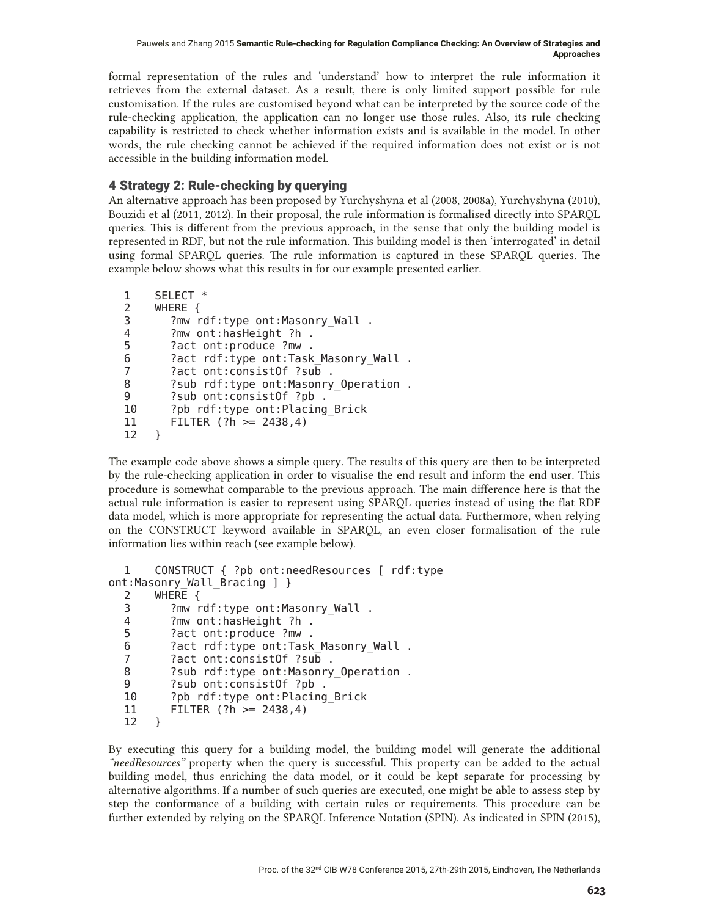formal representation of the rules and 'understand' how to interpret the rule information it retrieves from the external dataset. As a result, there is only limited support possible for rule customisation. If the rules are customised beyond what can be interpreted by the source code of the rule-checking application, the application can no longer use those rules. Also, its rule checking capability is restricted to check whether information exists and is available in the model. In other words, the rule checking cannot be achieved if the required information does not exist or is not accessible in the building information model.

# 4 Strategy 2: Rule-checking by querying

An alternative approach has been proposed by Yurchyshyna et al (2008, 2008a), Yurchyshyna (2010), Bouzidi et al (2011, 2012). In their proposal, the rule information is formalised directly into SPARQL queries. This is different from the previous approach, in the sense that only the building model is represented in RDF, but not the rule information. This building model is then 'interrogated' in detail using formal SPARQL queries. The rule information is captured in these SPARQL queries. The example below shows what this results in for our example presented earlier.

```
1 SELECT *
2 WHERE {
. Pmw rdf:type ont:Masonry Wall?
   "PZRQWKDV+HLJKW"K
      ?act ont:produce ?mw .
6 ?act rdf:type ont:Task Masonry Wall.
7 ?act ont:consistOf ?sub.
8 ?sub rdf:type ont: Masonry Operation.
9 ?sub ont:consistOf ?pb.
10 ?pb rdf:type ont:Placing Brick
11 FILTER (?h \ge 2438, 4)12 }
```
The example code above shows a simple query. The results of this query are then to be interpreted by the rule-checking application in order to visualise the end result and inform the end user. This procedure is somewhat comparable to the previous approach. The main difference here is that the actual rule information is easier to represent using SPARQL queries instead of using the flat RDF data model, which is more appropriate for representing the actual data. Furthermore, when relying on the CONSTRUCT keyword available in SPARQL, an even closer formalisation of the rule information lies within reach (see example below).

```
1 CONSTRUCT { ?pb ont:needResources [ rdf:type
ont:Masonry_Wall_Bracing ] }
   :+(5(^
 . mw rdf:type ont:Masonry_Wall?
 4 ?mw ont:hasHeight ?h .
 5 ?act ont: produce ?mw
 6 ?act rdf:type ont:Task Masonry Wall.
 . act ont:consistOf ?sub?
    "VXEUGIW\SHRQW0DVRQU\B2SHUDWLRQ
 9 ?sub ont:consistOf ?pb.
 10 ?pb rdf:type ont:Placing Brick
  11 FILTER (?h >= 2438,4)
 12 \quad \}
```
By executing this query for a building model, the building model will generate the additional *"needResources"* property when the query is successful. This property can be added to the actual building model, thus enriching the data model, or it could be kept separate for processing by alternative algorithms. If a number of such queries are executed, one might be able to assess step by step the conformance of a building with certain rules or requirements. This procedure can be further extended by relying on the SPARQL Inference Notation (SPIN). As indicated in SPIN (2015),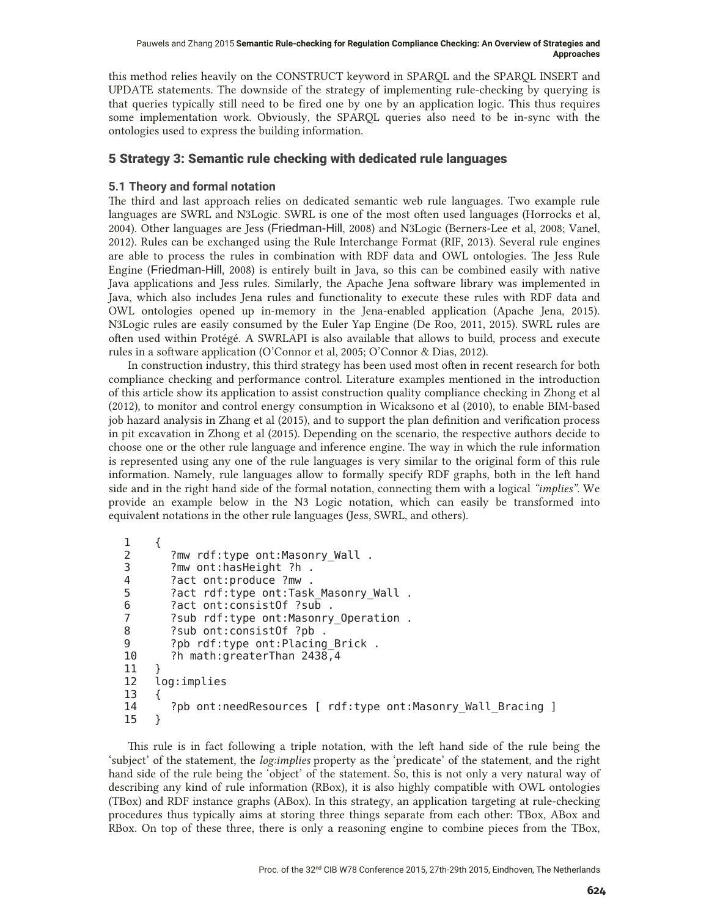this method relies heavily on the CONSTRUCT keyword in SPARQL and the SPARQL INSERT and UPDATE statements. The downside of the strategy of implementing rule-checking by querying is that queries typically still need to be fired one by one by an application logic. This thus requires some implementation work. Obviously, the SPARQL queries also need to be in-sync with the ontologies used to express the building information.

# 5 Strategy 3: Semantic rule checking with dedicated rule languages

# **5.1 Theory and formal notation**

The third and last approach relies on dedicated semantic web rule languages. Two example rule languages are SWRL and N3Logic. SWRL is one of the most often used languages (Horrocks et al, 2004). Other languages are Jess (Friedman-Hill, 2008) and N3Logic (Berners-Lee et al, 2008; Vanel, 2012). Rules can be exchanged using the Rule Interchange Format (RIF, 2013). Several rule engines are able to process the rules in combination with RDF data and OWL ontologies. The Jess Rule Engine (Friedman-Hill, 2008) is entirely built in Java, so this can be combined easily with native Java applications and Jess rules. Similarly, the Apache Jena software library was implemented in Java, which also includes Jena rules and functionality to execute these rules with RDF data and OWL ontologies opened up in-memory in the Jena-enabled application (Apache Jena, 2015). N3Logic rules are easily consumed by the Euler Yap Engine (De Roo, 2011, 2015). SWRL rules are often used within Protégé. A SWRLAPI is also available that allows to build, process and execute rules in a software application (O'Connor et al, 2005; O'Connor & Dias, 2012).

In construction industry, this third strategy has been used most often in recent research for both compliance checking and performance control. Literature examples mentioned in the introduction of this article show its application to assist construction quality compliance checking in Zhong et al (2012), to monitor and control energy consumption in Wicaksono et al (2010), to enable BIM-based job hazard analysis in Zhang et al (2015), and to support the plan definition and verification process in pit excavation in Zhong et al (2015). Depending on the scenario, the respective authors decide to choose one or the other rule language and inference engine. The way in which the rule information is represented using any one of the rule languages is very similar to the original form of this rule information. Namely, rule languages allow to formally specify RDF graphs, both in the left hand side and in the right hand side of the formal notation, connecting them with a logical *"implies"*. We provide an example below in the N3 Logic notation, which can easily be transformed into equivalent notations in the other rule languages (Jess, SWRL, and others).

```
\begin{matrix} 1 & \{ \\ 2 & \end{matrix}?mw rdf:type ont:Masonry Wall.
3 ?mw ont:hasHeight ?h.
4 ?act ont:produce ?mw.
5 ?act rdf:type ont:Task Masonry Wall.
6 ?act ont:consistOf ?sub.
7 3 Sub rdf:type ont: Masonry Operation.
8 ?sub ont:consistOf ?pb.
9 ?pb rdf:type ont:Placing Brick.
10 ?h math:greaterThan 2438,4
1112 log:implies
\begin{array}{cc} 13 & \{ \\ 14 & \end{array}?pb ont:needResources [ rdf:type ont:Masonry Wall Bracing ]
15 \quad \}
```
This rule is in fact following a triple notation, with the left hand side of the rule being the 'subject' of the statement, the *log:implies* property as the 'predicate' of the statement, and the right hand side of the rule being the 'object' of the statement. So, this is not only a very natural way of describing any kind of rule information (RBox), it is also highly compatible with OWL ontologies (TBox) and RDF instance graphs (ABox). In this strategy, an application targeting at rule-checking procedures thus typically aims at storing three things separate from each other: TBox, ABox and RBox. On top of these three, there is only a reasoning engine to combine pieces from the TBox,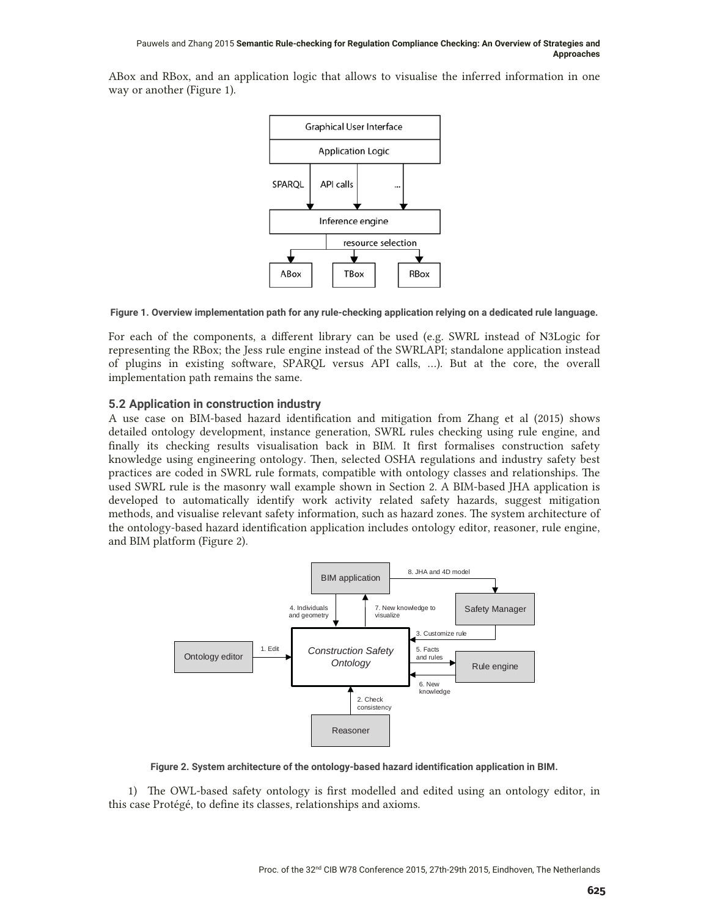ABox and RBox, and an application logic that allows to visualise the inferred information in one way or another (Figure 1).



**Figure 1. Overview implementation path for any rule-checking application relying on a dedicated rule language.** 

For each of the components, a different library can be used (e.g. SWRL instead of N3Logic for representing the RBox; the Jess rule engine instead of the SWRLAPI; standalone application instead of plugins in existing software, SPARQL versus API calls, …). But at the core, the overall implementation path remains the same.

# **5.2 Application in construction industry**

A use case on BIM-based hazard identification and mitigation from Zhang et al (2015) shows detailed ontology development, instance generation, SWRL rules checking using rule engine, and finally its checking results visualisation back in BIM. It first formalises construction safety knowledge using engineering ontology. Then, selected OSHA regulations and industry safety best practices are coded in SWRL rule formats, compatible with ontology classes and relationships. The used SWRL rule is the masonry wall example shown in Section 2. A BIM-based JHA application is developed to automatically identify work activity related safety hazards, suggest mitigation methods, and visualise relevant safety information, such as hazard zones. The system architecture of the ontology-based hazard identification application includes ontology editor, reasoner, rule engine, and BIM platform (Figure 2).



**Figure 2. System architecture of the ontology-based hazard identification application in BIM.** 

1) The OWL-based safety ontology is first modelled and edited using an ontology editor, in this case Protégé, to define its classes, relationships and axioms.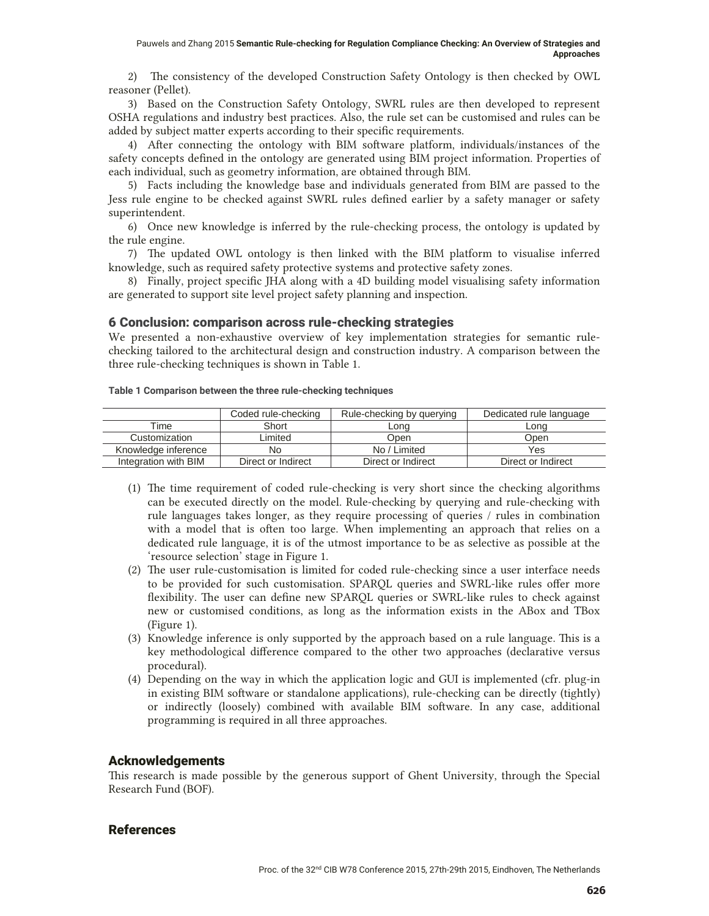2) The consistency of the developed Construction Safety Ontology is then checked by OWL reasoner (Pellet).

3) Based on the Construction Safety Ontology, SWRL rules are then developed to represent OSHA regulations and industry best practices. Also, the rule set can be customised and rules can be added by subject matter experts according to their specific requirements.

4) After connecting the ontology with BIM software platform, individuals/instances of the safety concepts defined in the ontology are generated using BIM project information. Properties of each individual, such as geometry information, are obtained through BIM.

5) Facts including the knowledge base and individuals generated from BIM are passed to the Jess rule engine to be checked against SWRL rules defined earlier by a safety manager or safety superintendent.

6) Once new knowledge is inferred by the rule-checking process, the ontology is updated by the rule engine.

7) The updated OWL ontology is then linked with the BIM platform to visualise inferred knowledge, such as required safety protective systems and protective safety zones.

8) Finally, project specific JHA along with a 4D building model visualising safety information are generated to support site level project safety planning and inspection.

## 6 Conclusion: comparison across rule-checking strategies

We presented a non-exhaustive overview of key implementation strategies for semantic rulechecking tailored to the architectural design and construction industry. A comparison between the three rule-checking techniques is shown in Table 1.

#### **Table 1 Comparison between the three rule-checking techniques**

|                      | Coded rule-checking | Rule-checking by querying | Dedicated rule language |
|----------------------|---------------------|---------------------------|-------------------------|
| Time                 | Short               | _ong                      | Lona                    |
| Customization        | _imited             | .<br>Jpen                 | .<br>Open               |
| Knowledge inference  | No                  | No / Limited              | Yes                     |
| Integration with BIM | Direct or Indirect  | Direct or Indirect        | Direct or Indirect      |

- (1) The time requirement of coded rule-checking is very short since the checking algorithms can be executed directly on the model. Rule-checking by querying and rule-checking with rule languages takes longer, as they require processing of queries / rules in combination with a model that is often too large. When implementing an approach that relies on a dedicated rule language, it is of the utmost importance to be as selective as possible at the 'resource selection' stage in Figure 1.
- (2) The user rule-customisation is limited for coded rule-checking since a user interface needs to be provided for such customisation. SPARQL queries and SWRL-like rules offer more flexibility. The user can define new SPARQL queries or SWRL-like rules to check against new or customised conditions, as long as the information exists in the ABox and TBox (Figure 1).
- (3) Knowledge inference is only supported by the approach based on a rule language. This is a key methodological difference compared to the other two approaches (declarative versus procedural).
- (4) Depending on the way in which the application logic and GUI is implemented (cfr. plug-in in existing BIM software or standalone applications), rule-checking can be directly (tightly) or indirectly (loosely) combined with available BIM software. In any case, additional programming is required in all three approaches.

## Acknowledgements

This research is made possible by the generous support of Ghent University, through the Special Research Fund (BOF).

## References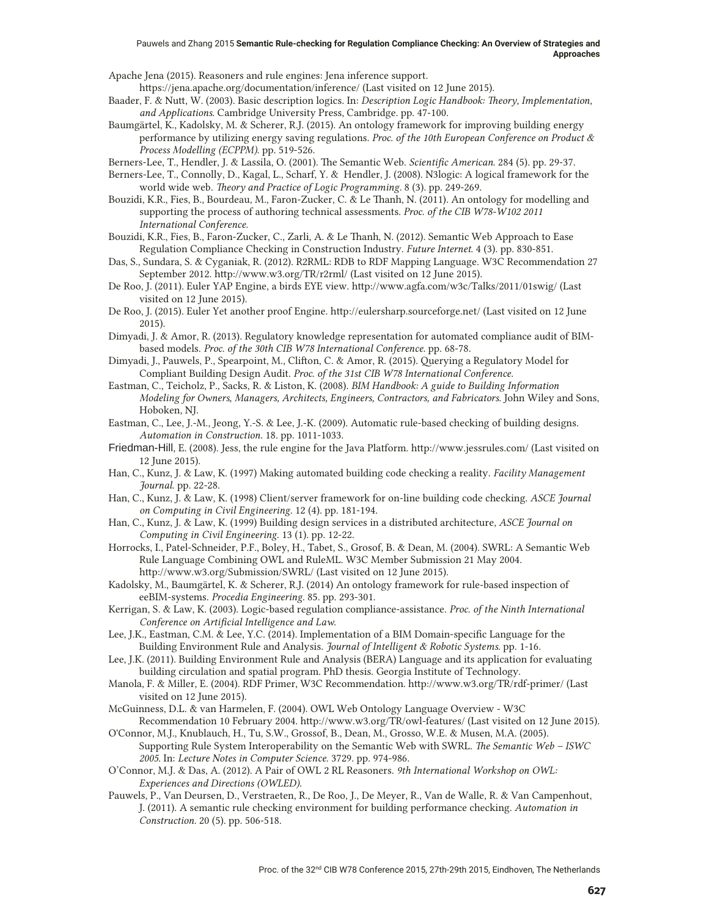Apache Jena (2015). Reasoners and rule engines: Jena inference support. https://jena.apache.org/documentation/inference/ (Last visited on 12 June 2015).

Baader, F. & Nutt, W. (2003). Basic description logics. In: *Description Logic Handbook: Theory, Implementation,* 

*and Applications*. Cambridge University Press, Cambridge. pp. 47-100.

- Baumgärtel, K., Kadolsky, M. & Scherer, R.J. (2015). An ontology framework for improving building energy performance by utilizing energy saving regulations. *Proc. of the 10th European Conference on Product & Process Modelling (ECPPM)*. pp. 519-526.
- Berners-Lee, T., Hendler, J. & Lassila, O. (2001). The Semantic Web. *Scientific American*. 284 (5). pp. 29-37.

Berners-Lee, T., Connolly, D., Kagal, L., Scharf, Y. & Hendler, J. (2008). N3logic: A logical framework for the world wide web. *Theory and Practice of Logic Programming.* 8 (3). pp. 249-269.

- Bouzidi, K.R., Fies, B., Bourdeau, M., Faron-Zucker, C. & Le Thanh, N. (2011). An ontology for modelling and supporting the process of authoring technical assessments. *Proc. of the CIB W78-W102 2011 International Conference.*
- Bouzidi, K.R., Fies, B., Faron-Zucker, C., Zarli, A. & Le Thanh, N. (2012). Semantic Web Approach to Ease Regulation Compliance Checking in Construction Industry. *Future Internet*. 4 (3). pp. 830-851.
- Das, S., Sundara, S. & Cyganiak, R. (2012). R2RML: RDB to RDF Mapping Language. W3C Recommendation 27 September 2012. http://www.w3.org/TR/r2rml/ (Last visited on 12 June 2015).
- De Roo, J. (2011). Euler YAP Engine, a birds EYE view. http://www.agfa.com/w3c/Talks/2011/01swig/ (Last visited on 12 June 2015).
- De Roo, J. (2015). Euler Yet another proof Engine. http://eulersharp.sourceforge.net/ (Last visited on 12 June 2015).
- Dimyadi, J. & Amor, R. (2013). Regulatory knowledge representation for automated compliance audit of BIMbased models. *Proc. of the 30th CIB W78 International Conference*. pp. 68-78.
- Dimyadi, J., Pauwels, P., Spearpoint, M., Clifton, C. & Amor, R. (2015). Querying a Regulatory Model for Compliant Building Design Audit. *Proc. of the 31st CIB W78 International Conference*.
- Eastman, C., Teicholz, P., Sacks, R. & Liston, K. (2008). *BIM Handbook: A guide to Building Information Modeling for Owners, Managers, Architects, Engineers, Contractors, and Fabricators*. John Wiley and Sons, Hoboken, NJ.
- Eastman, C., Lee, J.-M., Jeong, Y.-S. & Lee, J.-K. (2009). Automatic rule-based checking of building designs. *Automation in Construction*. 18. pp. 1011-1033.
- Friedman-Hill, E. (2008). Jess, the rule engine for the Java Platform. http://www.jessrules.com/ (Last visited on 12 June 2015).
- Han, C., Kunz, J. & Law, K. (1997) Making automated building code checking a reality. *Facility Management Journal*. pp. 22-28.
- Han, C., Kunz, J. & Law, K. (1998) Client/server framework for on-line building code checking. *ASCE Journal on Computing in Civil Engineering*. 12 (4). pp. 181-194.
- Han, C., Kunz, J. & Law, K. (1999) Building design services in a distributed architecture, *ASCE Journal on Computing in Civil Engineering.* 13 (1). pp. 12-22.
- Horrocks, I., Patel-Schneider, P.F., Boley, H., Tabet, S., Grosof, B. & Dean, M. (2004). SWRL: A Semantic Web Rule Language Combining OWL and RuleML. W3C Member Submission 21 May 2004. http://www.w3.org/Submission/SWRL/ (Last visited on 12 June 2015).
- Kadolsky, M., Baumgärtel, K. & Scherer, R.J. (2014) An ontology framework for rule-based inspection of eeBIM-systems. *Procedia Engineering.* 85. pp. 293-301.
- Kerrigan, S. & Law, K. (2003). Logic-based regulation compliance-assistance. *Proc. of the Ninth International Conference on Artificial Intelligence and Law*.
- Lee, J.K., Eastman, C.M. & Lee, Y.C. (2014). Implementation of a BIM Domain-specific Language for the Building Environment Rule and Analysis. *Journal of Intelligent & Robotic Systems*. pp. 1-16.
- Lee, J.K. (2011). Building Environment Rule and Analysis (BERA) Language and its application for evaluating building circulation and spatial program. PhD thesis. Georgia Institute of Technology.
- Manola, F. & Miller, E. (2004). RDF Primer, W3C Recommendation. http://www.w3.org/TR/rdf-primer/ (Last visited on 12 June 2015).
- McGuinness, D.L. & van Harmelen, F. (2004). OWL Web Ontology Language Overview W3C Recommendation 10 February 2004. http://www.w3.org/TR/owl-features/ (Last visited on 12 June 2015).
- O'Connor, M.J., Knublauch, H., Tu, S.W., Grossof, B., Dean, M., Grosso, W.E. & Musen, M.A. (2005). Supporting Rule System Interoperability on the Semantic Web with SWRL. *The Semantic Web – ISWC 2005.* In: *Lecture Notes in Computer Science*. 3729. pp. 974-986.
- O'Connor, M.J. & Das, A. (2012). A Pair of OWL 2 RL Reasoners. *9th International Workshop on OWL: Experiences and Directions (OWLED)*.
- Pauwels, P., Van Deursen, D., Verstraeten, R., De Roo, J., De Meyer, R., Van de Walle, R. & Van Campenhout, J. (2011). A semantic rule checking environment for building performance checking. *Automation in Construction.* 20 (5). pp. 506-518.